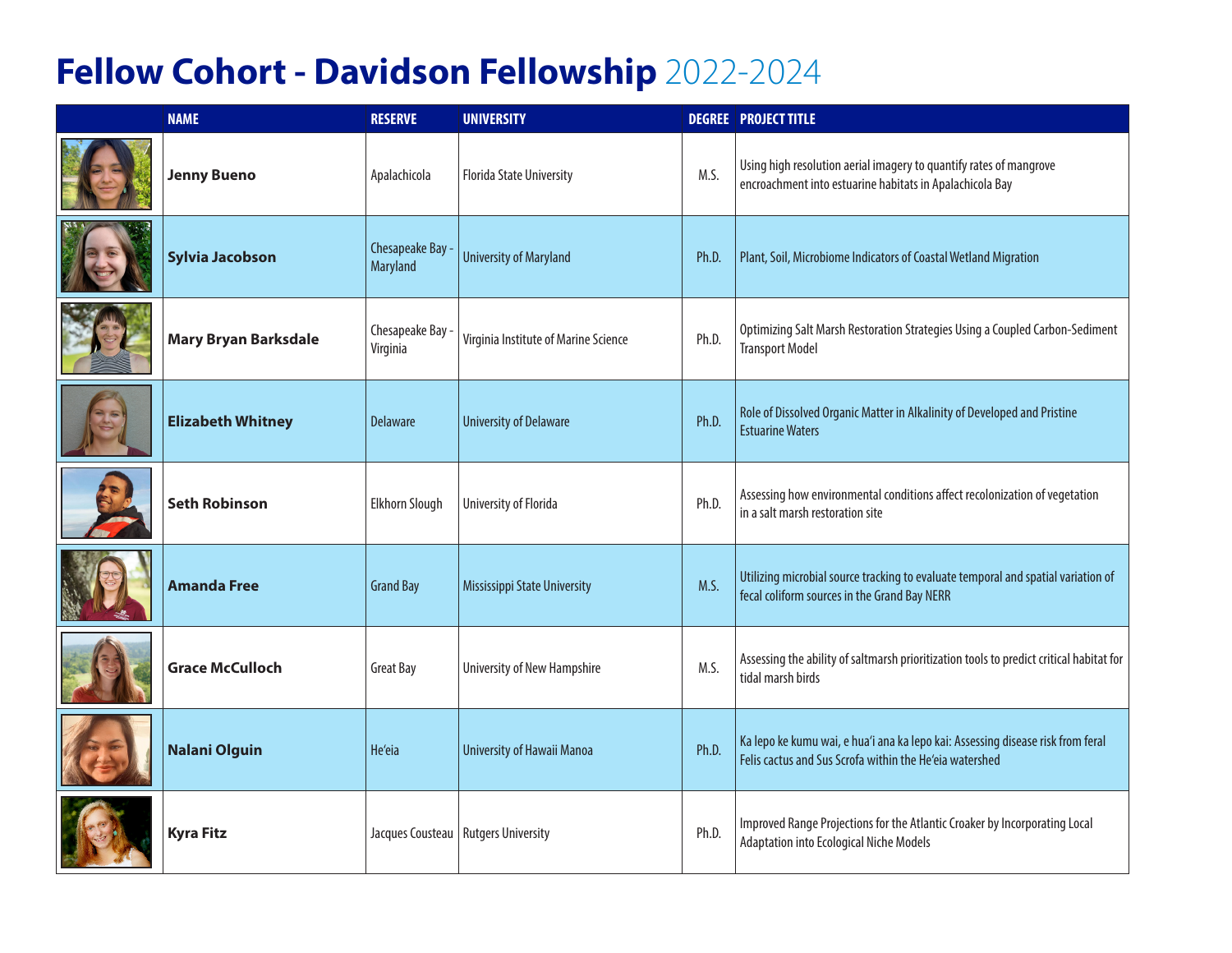## **Fellow Cohort - Davidson Fellowship** 2022-2024

| <b>NAME</b>                 | <b>RESERVE</b>               | <b>UNIVERSITY</b>                     |       | <b>DEGREE   PROJECT TITLE</b>                                                                                                              |
|-----------------------------|------------------------------|---------------------------------------|-------|--------------------------------------------------------------------------------------------------------------------------------------------|
| <b>Jenny Bueno</b>          | Apalachicola                 | <b>Florida State University</b>       | M.S.  | Using high resolution aerial imagery to quantify rates of mangrove<br>encroachment into estuarine habitats in Apalachicola Bay             |
| <b>Sylvia Jacobson</b>      | Chesapeake Bay -<br>Maryland | <b>University of Maryland</b>         | Ph.D. | Plant, Soil, Microbiome Indicators of Coastal Wetland Migration                                                                            |
| <b>Mary Bryan Barksdale</b> | Chesapeake Bay -<br>Virginia | Virginia Institute of Marine Science  | Ph.D. | Optimizing Salt Marsh Restoration Strategies Using a Coupled Carbon-Sediment<br><b>Transport Model</b>                                     |
| <b>Elizabeth Whitney</b>    | <b>Delaware</b>              | <b>University of Delaware</b>         | Ph.D. | Role of Dissolved Organic Matter in Alkalinity of Developed and Pristine<br><b>Estuarine Waters</b>                                        |
| <b>Seth Robinson</b>        | Elkhorn Slough               | University of Florida                 | Ph.D. | Assessing how environmental conditions affect recolonization of vegetation<br>in a salt marsh restoration site                             |
| <b>Amanda Free</b>          | <b>Grand Bay</b>             | Mississippi State University          | M.S.  | Utilizing microbial source tracking to evaluate temporal and spatial variation of<br>fecal coliform sources in the Grand Bay NERR          |
| <b>Grace McCulloch</b>      | <b>Great Bay</b>             | <b>University of New Hampshire</b>    | M.S.  | Assessing the ability of saltmarsh prioritization tools to predict critical habitat for<br>tidal marsh birds                               |
| <b>Nalani Olguin</b>        | He'eia                       | University of Hawaii Manoa            | Ph.D. | Ka lepo ke kumu wai, e hua'i ana ka lepo kai: Assessing disease risk from feral<br>Felis cactus and Sus Scrofa within the He'eia watershed |
| <b>Kyra Fitz</b>            |                              | Jacques Cousteau   Rutgers University | Ph.D. | Improved Range Projections for the Atlantic Croaker by Incorporating Local<br>Adaptation into Ecological Niche Models                      |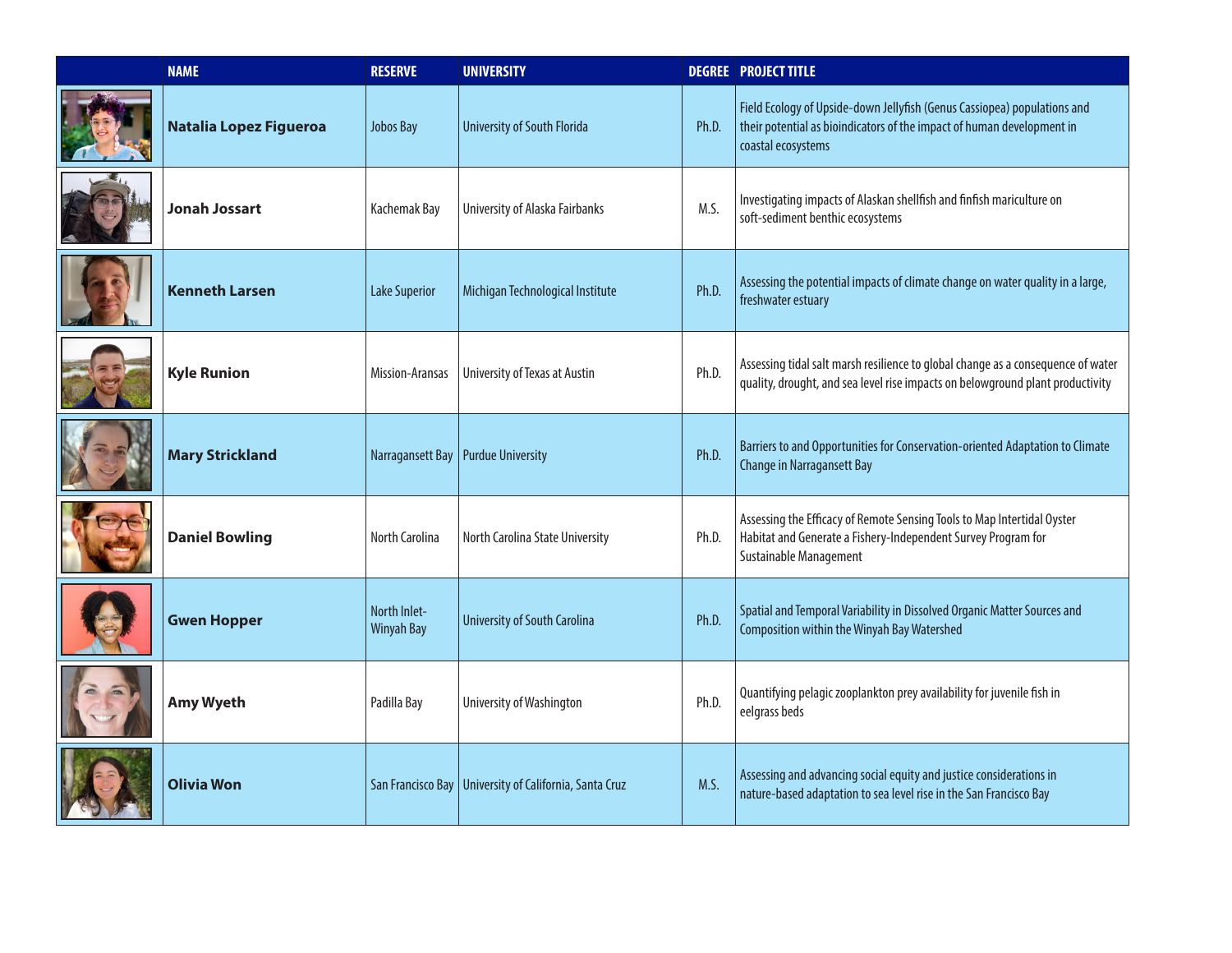| <b>NAME</b>            | <b>RESERVE</b>                    | <b>UNIVERSITY</b>                                        |       | <b>DEGREE   PROJECT TITLE</b>                                                                                                                                            |
|------------------------|-----------------------------------|----------------------------------------------------------|-------|--------------------------------------------------------------------------------------------------------------------------------------------------------------------------|
| Natalia Lopez Figueroa | <b>Jobos Bay</b>                  | <b>University of South Florida</b>                       | Ph.D. | Field Ecology of Upside-down Jellyfish (Genus Cassiopea) populations and<br>their potential as bioindicators of the impact of human development in<br>coastal ecosystems |
| <b>Jonah Jossart</b>   | Kachemak Bay                      | University of Alaska Fairbanks                           | M.S.  | Investigating impacts of Alaskan shellfish and finfish mariculture on<br>soft-sediment benthic ecosystems                                                                |
| <b>Kenneth Larsen</b>  | <b>Lake Superior</b>              | Michigan Technological Institute                         | Ph.D. | Assessing the potential impacts of climate change on water quality in a large,<br>freshwater estuary                                                                     |
| <b>Kyle Runion</b>     | Mission-Aransas                   | University of Texas at Austin                            | Ph.D. | Assessing tidal salt marsh resilience to global change as a consequence of water<br>quality, drought, and sea level rise impacts on belowground plant productivity       |
| <b>Mary Strickland</b> |                                   | Narragansett Bay   Purdue University                     | Ph.D. | Barriers to and Opportunities for Conservation-oriented Adaptation to Climate<br><b>Change in Narragansett Bay</b>                                                       |
| <b>Daniel Bowling</b>  | North Carolina                    | North Carolina State University                          | Ph.D. | Assessing the Efficacy of Remote Sensing Tools to Map Intertidal Oyster<br>Habitat and Generate a Fishery-Independent Survey Program for<br>Sustainable Management       |
| <b>Gwen Hopper</b>     | North Inlet-<br><b>Winyah Bay</b> | <b>University of South Carolina</b>                      | Ph.D. | Spatial and Temporal Variability in Dissolved Organic Matter Sources and<br><b>Composition within the Winyah Bay Watershed</b>                                           |
| <b>Amy Wyeth</b>       | Padilla Bay                       | University of Washington                                 | Ph.D. | Quantifying pelagic zooplankton prey availability for juvenile fish in<br>eelgrass beds                                                                                  |
| <b>Olivia Won</b>      |                                   | San Francisco Bay   University of California, Santa Cruz | M.S.  | Assessing and advancing social equity and justice considerations in<br>nature-based adaptation to sea level rise in the San Francisco Bay                                |